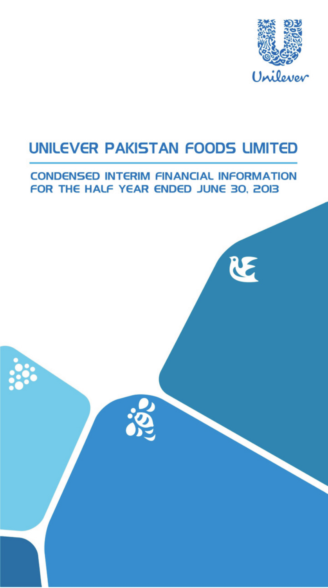

E

# **UNILEVER PAKISTAN FOODS LIMITED**

## **CONDENSED INTERIM FINANCIAL INFORMATION** FOR THE HALF YEAR ENDED JUNE 30, 2013

**SSS** 

888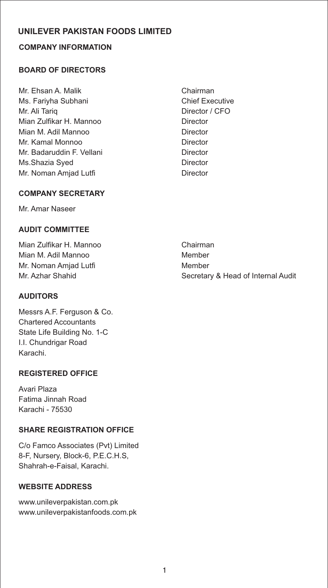### **COMPANY INFORMATION**

### **BOARD OF DIRECTORS**

- Mr. Ehsan A. Malik Chairman Ms. Fariyha Subhani Chief Executive Mr. Ali Tariq Director / CFO Mian Zulfikar H. Mannoo Director Mian M. Adil Mannoo Director Mr. Kamal Monnoo **Director** Mr. Badaruddin F. Vellani **Director** Ms.Shazia Syed Director Mr. Noman Amjad Lutfi **Director** Director
	-

### **COMPANY SECRETARY**

Mr. Amar Naseer

### **AUDIT COMMITTEE**

Mian Zulfikar H. Mannoo Chairman Mian M. Adil Mannoo Member Mr. Noman Amjad Lutfi **Member** Member

### **AUDITORS**

Messrs A.F. Ferguson & Co. Chartered Accountants State Life Building No. 1-C I.I. Chundrigar Road Karachi.

### **REGISTERED OFFICE**

Avari Plaza Fatima Jinnah Road Karachi - 75530

### **SHARE REGISTRATION OFFICE**

C/o Famco Associates (Pvt) Limited 8-F, Nursery, Block-6, P.E.C.H.S, Shahrah-e-Faisal, Karachi.

### **WEBSITE ADDRESS**

www.unileverpakistan.com.pk www.unileverpakistanfoods.com.pk

Mr. Azhar Shahid Secretary & Head of Internal Audit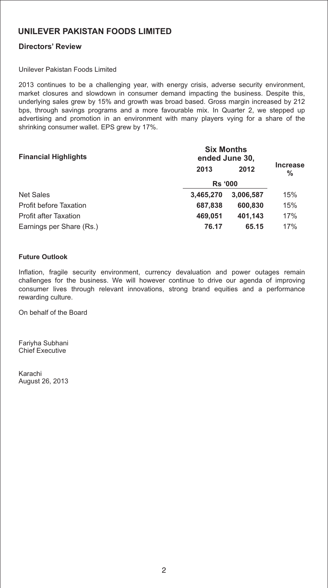### **Directors' Review**

#### Unilever Pakistan Foods Limited

2013 continues to be a challenging year, with energy crisis, adverse security environment, market closures and slowdown in consumer demand impacting the business. Despite this, underlying sales grew by 15% and growth was broad based. Gross margin increased by 212 bps, through savings programs and a more favourable mix. In Quarter 2, we stepped up advertising and promotion in an environment with many players vying for a share of the shrinking consumer wallet. EPS grew by 17%.

| <b>Financial Highlights</b>   | <b>Six Months</b><br>ended June 30, |           |                      |
|-------------------------------|-------------------------------------|-----------|----------------------|
|                               | 2013                                | 2012      | <b>Increase</b><br>% |
|                               | <b>Rs '000</b>                      |           |                      |
| <b>Net Sales</b>              | 3.465.270                           | 3.006.587 | 15%                  |
| <b>Profit before Taxation</b> | 687,838                             | 600.830   | 15%                  |
| <b>Profit after Taxation</b>  | 469.051                             | 401.143   | 17%                  |
| Earnings per Share (Rs.)      | 76.17                               | 65.15     | 17%                  |

#### **Future Outlook**

Inflation, fragile security environment, currency devaluation and power outages remain challenges for the business. We will however continue to drive our agenda of improving consumer lives through relevant innovations, strong brand equities and a performance rewarding culture.

On behalf of the Board

Fariyha Subhani Chief Executive

Karachi August 26, 2013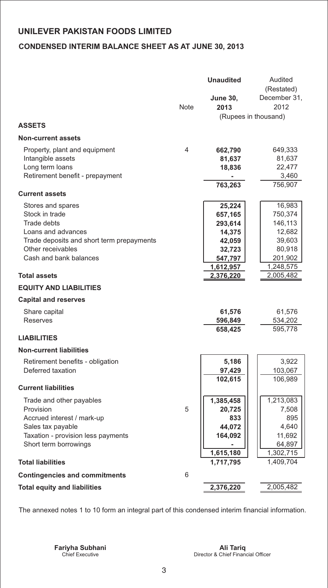### **CONDENSED INTERIM BALANCE SHEET AS AT JUNE 30, 2013**

|                                                                                                                                                                             | Note | <b>Unaudited</b><br><b>June 30,</b><br>2013                                        | Audited<br>(Restated)<br>December 31,<br>2012<br>(Rupees in thousand)              |
|-----------------------------------------------------------------------------------------------------------------------------------------------------------------------------|------|------------------------------------------------------------------------------------|------------------------------------------------------------------------------------|
| <b>ASSETS</b>                                                                                                                                                               |      |                                                                                    |                                                                                    |
| <b>Non-current assets</b>                                                                                                                                                   |      |                                                                                    |                                                                                    |
| Property, plant and equipment<br>Intangible assets<br>Long term loans<br>Retirement benefit - prepayment                                                                    | 4    | 662,790<br>81,637<br>18,836<br>763,263                                             | 649,333<br>81,637<br>22,477<br>3,460<br>756,907                                    |
| <b>Current assets</b>                                                                                                                                                       |      |                                                                                    |                                                                                    |
| Stores and spares<br>Stock in trade<br><b>Trade debts</b><br>Loans and advances<br>Trade deposits and short term prepayments<br>Other receivables<br>Cash and bank balances |      | 25,224<br>657,165<br>293,614<br>14,375<br>42,059<br>32,723<br>547,797<br>1,612,957 | 16,983<br>750,374<br>146,113<br>12,682<br>39,603<br>80,918<br>201,902<br>1,248,575 |
| <b>Total assets</b>                                                                                                                                                         |      | 2,376,220                                                                          | 2,005,482                                                                          |
| <b>EQUITY AND LIABILITIES</b>                                                                                                                                               |      |                                                                                    |                                                                                    |
| <b>Capital and reserves</b>                                                                                                                                                 |      |                                                                                    |                                                                                    |
| Share capital<br><b>Reserves</b>                                                                                                                                            |      | 61,576<br>596,849<br>658,425                                                       | 61,576<br>534,202<br>595,778                                                       |
| <b>LIABILITIES</b><br><b>Non-current liabilities</b>                                                                                                                        |      |                                                                                    |                                                                                    |
| Retirement benefits - obligation<br>Deferred taxation                                                                                                                       |      | 5,186<br>97,429<br>102,615                                                         | 3,922<br>103,067<br>106,989                                                        |
| <b>Current liabilities</b>                                                                                                                                                  |      |                                                                                    |                                                                                    |
| Trade and other payables<br>Provision<br>Accrued interest / mark-up<br>Sales tax payable<br>Taxation - provision less payments<br>Short term borrowings                     | 5    | 1,385,458<br>20,725<br>833<br>44,072<br>164,092<br>1,615,180                       | 1,213,083<br>7,508<br>895<br>4,640<br>11,692<br>64,897<br>1,302,715                |
| <b>Total liabilities</b>                                                                                                                                                    |      | 1,717,795                                                                          | 1,409,704                                                                          |
| <b>Contingencies and commitments</b>                                                                                                                                        | 6    |                                                                                    |                                                                                    |
| <b>Total equity and liabilities</b>                                                                                                                                         |      | 2,376,220                                                                          | 2,005,482                                                                          |

The annexed notes 1 to 10 form an integral part of this condensed interim financial information.

Chief Executive Director & Chief Financial Officer **Fariyha Subhani Ali Tariq**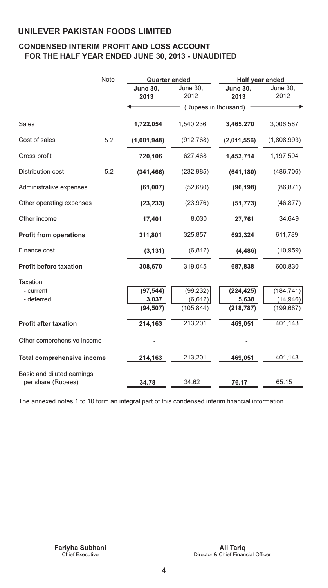### **CONDENSED INTERIM PROFIT AND LOSS ACCOUNT FOR THE HALF YEAR ENDED JUNE 30, 2013 - UNAUDITED**

|                                   | <b>Note</b> | <b>Quarter ended</b>    |                      | Half year ended         |                  |
|-----------------------------------|-------------|-------------------------|----------------------|-------------------------|------------------|
|                                   |             | <b>June 30,</b><br>2013 | June 30,<br>2012     | <b>June 30,</b><br>2013 | June 30,<br>2012 |
|                                   |             |                         | (Rupees in thousand) |                         |                  |
| Sales                             |             | 1,722,054               | 1,540,236            | 3,465,270               | 3,006,587        |
| Cost of sales                     | 5.2         | (1,001,948)             | (912, 768)           | (2,011,556)             | (1,808,993)      |
| Gross profit                      |             | 720,106                 | 627,468              | 1,453,714               | 1,197,594        |
| Distribution cost                 | 5.2         | (341, 466)              | (232, 985)           | (641, 180)              | (486, 706)       |
| Administrative expenses           |             | (61,007)                | (52,680)             | (96, 198)               | (86, 871)        |
| Other operating expenses          |             | (23, 233)               | (23, 976)            | (51, 773)               | (46, 877)        |
| Other income                      |             | 17,401                  | 8,030                | 27,761                  | 34,649           |
| <b>Profit from operations</b>     |             | 311,801                 | 325,857              | 692,324                 | 611,789          |
| Finance cost                      |             | (3, 131)                | (6, 812)             | (4, 486)                | (10, 959)        |
| <b>Profit before taxation</b>     |             | 308,670                 | 319,045              | 687,838                 | 600,830          |
| Taxation                          |             |                         |                      |                         |                  |
| - current                         |             | (97, 544)               | (99, 232)            | (224, 425)              | (184, 741)       |
| - deferred                        |             | 3,037                   | (6, 612)             | 5,638                   | (14, 946)        |
|                                   |             | (94, 507)               | (105, 844)           | (218, 787)              | (199, 687)       |
| <b>Profit after taxation</b>      |             | 214,163                 | 213,201              | 469,051                 | 401,143          |
| Other comprehensive income        |             |                         |                      |                         |                  |
| <b>Total comprehensive income</b> |             | 214,163                 | 213,201              | 469,051                 | 401,143          |
| Basic and diluted earnings        |             |                         |                      |                         |                  |
| per share (Rupees)                |             | 34.78                   | 34.62                | 76.17                   | 65.15            |

The annexed notes 1 to 10 form an integral part of this condensed interim financial information.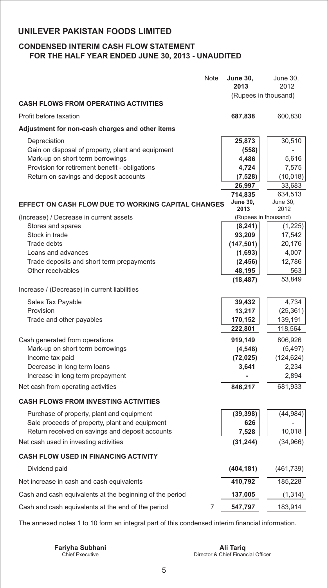### **CONDENSED INTERIM CASH FLOW STATEMENT FOR THE HALF YEAR ENDED JUNE 30, 2013 - UNAUDITED**

| Note                                                                                                                                                                                              | <b>June 30,</b><br>2013                                  | June 30,<br>2012                                    |
|---------------------------------------------------------------------------------------------------------------------------------------------------------------------------------------------------|----------------------------------------------------------|-----------------------------------------------------|
| <b>CASH FLOWS FROM OPERATING ACTIVITIES</b>                                                                                                                                                       | (Rupees in thousand)                                     |                                                     |
| Profit before taxation                                                                                                                                                                            | 687,838                                                  | 600,830                                             |
| Adjustment for non-cash charges and other items                                                                                                                                                   |                                                          |                                                     |
| Depreciation<br>Gain on disposal of property, plant and equipment<br>Mark-up on short term borrowings<br>Provision for retirement benefit - obligations<br>Return on savings and deposit accounts | 25,873<br>(558)<br>4,486<br>4,724<br>(7, 528)            | 30,510<br>5,616<br>7,575<br>(10, 018)               |
|                                                                                                                                                                                                   | 26,997<br>714,835                                        | 33,683<br>634,513                                   |
| <b>EFFECT ON CASH FLOW DUE TO WORKING CAPITAL CHANGES</b>                                                                                                                                         | <b>June 30,</b><br>2013                                  | <b>June 30,</b><br>2012                             |
| (Increase) / Decrease in current assets<br>Stores and spares<br>Stock in trade<br>Trade debts                                                                                                     | (Rupees in thousand)<br>(8, 241)<br>93,209               | (1,225)<br>17,542                                   |
| Loans and advances<br>Trade deposits and short term prepayments<br>Other receivables                                                                                                              | (147, 501)<br>(1,693)<br>(2, 456)<br>48,195<br>(18, 487) | 20,176<br>4,007<br>12,786<br>563<br>53,849          |
| Increase / (Decrease) in current liabilities                                                                                                                                                      |                                                          |                                                     |
| Sales Tax Payable<br>Provision<br>Trade and other payables                                                                                                                                        | 39,432<br>13,217<br>170,152<br>222,801                   | 4,734<br>(25, 361)<br>139,191<br>118,564            |
| Cash generated from operations<br>Mark-up on short term borrowings<br>Income tax paid<br>Decrease in long term loans<br>Increase in long term prepayment                                          | 919,149<br>(4, 548)<br>(72, 025)<br>3,641                | 806,926<br>(5, 497)<br>(124, 624)<br>2,234<br>2,894 |
| Net cash from operating activities                                                                                                                                                                | 846,217                                                  | 681,933                                             |
| <b>CASH FLOWS FROM INVESTING ACTIVITIES</b>                                                                                                                                                       |                                                          |                                                     |
| Purchase of property, plant and equipment<br>Sale proceeds of property, plant and equipment                                                                                                       | (39, 398)<br>626                                         | (44, 984)                                           |
| Return received on savings and deposit accounts<br>Net cash used in investing activities                                                                                                          | 7,528<br>(31, 244)                                       | 10,018<br>(34, 966)                                 |
| <b>CASH FLOW USED IN FINANCING ACTIVITY</b>                                                                                                                                                       |                                                          |                                                     |
| Dividend paid                                                                                                                                                                                     | (404, 181)                                               | (461, 739)                                          |
| Net increase in cash and cash equivalents                                                                                                                                                         | 410,792                                                  | 185,228                                             |
| Cash and cash equivalents at the beginning of the period                                                                                                                                          | 137,005                                                  | (1, 314)                                            |
| Cash and cash equivalents at the end of the period<br>7                                                                                                                                           | 547,797                                                  | 183,914                                             |

The annexed notes 1 to 10 form an integral part of this condensed interim financial information.

Chief Executive Director & Chief Financial Officer **Fariyha Subhani Ali Tariq**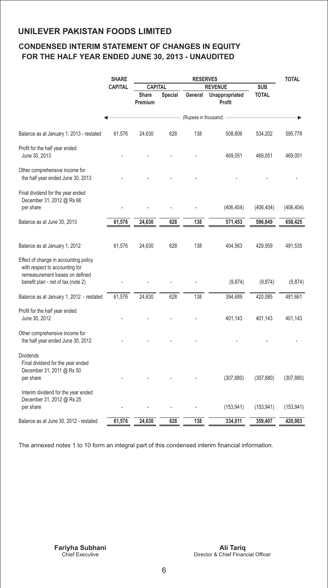### **CONDENSED INTERIM STATEMENT OF CHANGES IN EQUITY FOR THE HALF YEAR ENDED JUNE 30, 2013 - UNAUDITED**

|                                                                                                                                                  | <b>SHARE</b>   | <b>RESERVES</b>         |                |                      | <b>TOTAL</b>             |              |            |
|--------------------------------------------------------------------------------------------------------------------------------------------------|----------------|-------------------------|----------------|----------------------|--------------------------|--------------|------------|
|                                                                                                                                                  | <b>CAPITAL</b> | <b>CAPITAL</b>          |                |                      | <b>REVENUE</b>           | <b>SUB</b>   |            |
|                                                                                                                                                  |                | <b>Share</b><br>Premium | <b>Special</b> | General              | Unappropriated<br>Profit | <b>TOTAL</b> |            |
|                                                                                                                                                  |                |                         |                | (Rupees in thousand) |                          |              |            |
| Balance as at January 1, 2013 - restated                                                                                                         | 61,576         | 24,630                  | 628            | 138                  | 508,806                  | 534,202      | 595,778    |
| Profit for the half year ended<br>June 30, 2013                                                                                                  |                |                         |                |                      | 469,051                  | 469,051      | 469,051    |
| Other comprehensive income for<br>the half year ended June 30, 2013                                                                              |                |                         |                |                      |                          |              |            |
| Final dividend for the year ended<br>December 31, 2012 @ Rs 66<br>per share                                                                      |                |                         |                |                      | (406, 404)               | (406, 404)   | (406, 404) |
| Balance as at June 30, 2013                                                                                                                      | 61,576         | 24,630                  | 628            | 138                  | 571,453                  | 596,849      | 658,425    |
|                                                                                                                                                  |                |                         |                |                      |                          |              |            |
| Balance as at January 1, 2012                                                                                                                    | 61,576         | 24,630                  | 628            | 138                  | 404,563                  | 429,959      | 491,535    |
| Effect of change in accounting policy<br>with respect to accounting for<br>remeasurement losses on defined<br>benefit plan - net of tax (note 2) |                |                         |                |                      | (9,874)                  | (9,874)      | (9,874)    |
| Balance as at January 1, 2012 - restated                                                                                                         | 61,576         | 24,630                  | 628            | 138                  | 394,689                  | 420,085      | 481,661    |
| Profit for the half year ended<br>June 30, 2012                                                                                                  |                |                         |                |                      | 401,143                  | 401,143      | 401,143    |
| Other comprehensive income for<br>the half year ended June 30, 2012                                                                              |                |                         |                |                      |                          |              |            |
| <b>Dividends</b><br>Final dividend for the year ended<br>December 31, 2011 @ Rs 50<br>per share                                                  |                |                         |                |                      | (307, 880)               | (307, 880)   | (307, 880) |
| Interim dividend for the year ended<br>December 31, 2012 @ Rs 25<br>per share                                                                    |                |                         |                |                      | (153, 941)               | (153, 941)   | (153, 941) |
| Balance as at June 30, 2012 - restated                                                                                                           | 61,576         | 24,630                  | 628            | 138                  | 334,011                  | 359,407      | 420,983    |
|                                                                                                                                                  |                |                         |                |                      |                          |              |            |

The annexed notes 1 to 10 form an integral part of this condensed interim financial information.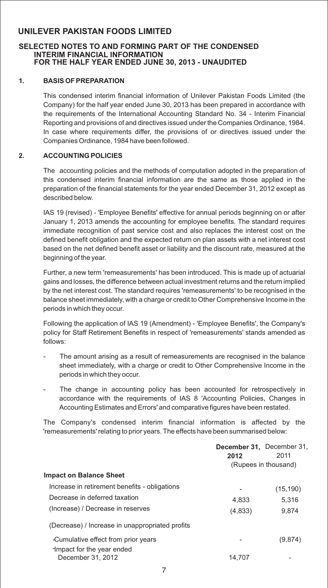#### **SELECTED NOTES TO AND FORMING PART OF THE CONDENSED INTERIM FINANCIAL INFORMATION FOR THE HALF YEAR ENDED JUNE 30, 2013 - UNAUDITED**

#### **1. BASIS OF PREPARATION**

This condensed interim financial information of Unilever Pakistan Foods Limited (the Company) for the half year ended June 30, 2013 has been prepared in accordance with the requirements of the International Accounting Standard No. 34 - Interim Financial Reporting and provisions of and directives issued under the Companies Ordinance, 1984. In case where requirements differ, the provisions of or directives issued under the Companies Ordinance, 1984 have been followed.

#### **2. ACCOUNTING POLICIES**

The accounting policies and the methods of computation adopted in the preparation of this condensed interim financial information are the same as those applied in the preparation of the financial statements for the year ended December 31, 2012 except as described below.

IAS 19 (revised) - 'Employee Benefits' effective for annual periods beginning on or after January 1, 2013 amends the accounting for employee benefits. The standard requires immediate recognition of past service cost and also replaces the interest cost on the defined benefit obligation and the expected return on plan assets with a net interest cost based on the net defined benefit asset or liability and the discount rate, measured at the beginning of the year.

Further, a new term 'remeasurements' has been introduced. This is made up of actuarial gains and losses, the difference between actual investment returns and the return implied by the net interest cost. The standard requires 'remeasurements' to be recognised in the balance sheet immediately, with a charge or credit to Other Comprehensive Income in the periods in which they occur.

Following the application of IAS 19 (Amendment) - 'Employee Benefits', the Company's policy for Staff Retirement Benefits in respect of 'remeasurements' stands amended as follows:

- The amount arising as a result of remeasurements are recognised in the balance sheet immediately, with a charge or credit to Other Comprehensive Income in the periods in which they occur.
- The change in accounting policy has been accounted for retrospectively in accordance with the requirements of IAS 8 'Accounting Policies, Changes in Accounting Estimates and Errors' and comparative figures have been restated.

The Company's condensed interim financial information is affected by the 'remeasurements' relating to prior years. The effects have been summarised below:

|                                                 | December 31, December 31,<br>2012 | 2011                 |
|-------------------------------------------------|-----------------------------------|----------------------|
|                                                 |                                   | (Rupees in thousand) |
| <b>Impact on Balance Sheet</b>                  |                                   |                      |
| Increase in retirement benefits - obligations   |                                   | (15, 190)            |
| Decrease in deferred taxation                   | 4.833                             | 5.316                |
| (Increase) / Decrease in reserves               | (4,833)                           | 9.874                |
| (Decrease) / Increase in unappropriated profits |                                   |                      |
| -Cumulative effect from prior years             |                                   | (9,874)              |
| -Impact for the year ended<br>December 31, 2012 | 14.707                            |                      |
|                                                 |                                   |                      |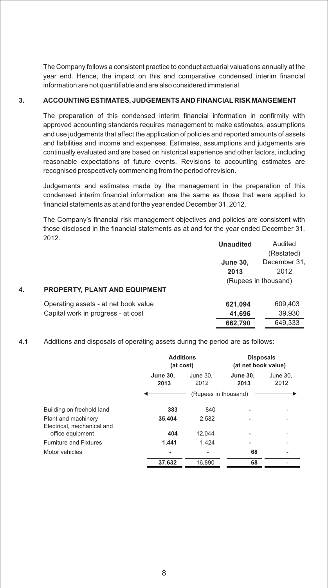The Company follows a consistent practice to conduct actuarial valuations annually at the year end. Hence, the impact on this and comparative condensed interim financial information are not quantifiable and are also considered immaterial.

#### **3. ACCOUNTING ESTIMATES, JUDGEMENTS AND FINANCIAL RISK MANGEMENT**

The preparation of this condensed interim financial information in confirmity with approved accounting standards requires management to make estimates, assumptions and use judgements that affect the application of policies and reported amounts of assets and liabilities and income and expenses. Estimates, assumptions and judgements are continually evaluated and are based on historical experience and other factors, including reasonable expectations of future events. Revisions to accounting estimates are recognised prospectively commencing from the period of revision.

Judgements and estimates made by the management in the preparation of this condensed interim financial information are the same as those that were applied to financial statements as at and for the year ended December 31, 2012.

The Company's financial risk management objectives and policies are consistent with those disclosed in the financial statements as at and for the year ended December 31, 2012.

|    |                                      | <b>Unaudited</b> | Audited              |
|----|--------------------------------------|------------------|----------------------|
|    |                                      |                  | (Restated)           |
|    |                                      | <b>June 30,</b>  | December 31,         |
|    |                                      | 2013             | 2012                 |
|    |                                      |                  | (Rupees in thousand) |
| 4. | <b>PROPERTY, PLANT AND EQUIPMENT</b> |                  |                      |
|    | Operating assets - at net book value | 621,094          | 609,403              |
|    | Capital work in progress - at cost   | 41,696           | 39,930               |
|    |                                      | 662,790          | 649,333              |

**4.1** Additions and disposals of operating assets during the period are as follows:

|                                                   |                         | <b>Additions</b><br>(at cost) |                         | <b>Disposals</b><br>(at net book value) |  |
|---------------------------------------------------|-------------------------|-------------------------------|-------------------------|-----------------------------------------|--|
|                                                   | <b>June 30,</b><br>2013 | June 30.<br>2012              | <b>June 30.</b><br>2013 | June 30,<br>2012                        |  |
|                                                   |                         | (Rupees in thousand)          |                         |                                         |  |
| Building on freehold land                         | 383                     | 840                           |                         |                                         |  |
| Plant and machinery<br>Electrical, mechanical and | 35,404                  | 2,582                         |                         |                                         |  |
| office equipment                                  | 404                     | 12,044                        |                         |                                         |  |
| <b>Furniture and Fixtures</b>                     | 1.441                   | 1.424                         | ۰                       |                                         |  |
| Motor vehicles                                    | ۰                       |                               | 68                      |                                         |  |
|                                                   | 37,632                  | 16.890                        | 68                      |                                         |  |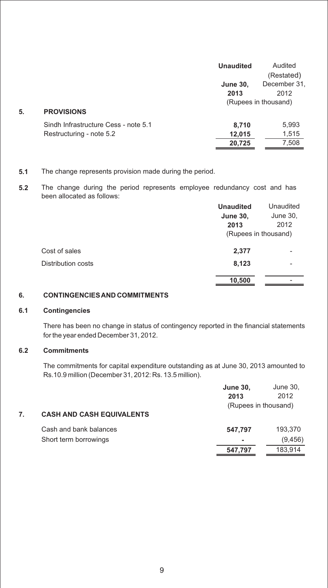|    |                                      | <b>Unaudited</b> | Audited              |
|----|--------------------------------------|------------------|----------------------|
|    |                                      |                  | (Restated)           |
|    |                                      | <b>June 30,</b>  | December 31.         |
|    |                                      | 2013             | 2012                 |
|    |                                      |                  | (Rupees in thousand) |
| 5. | <b>PROVISIONS</b>                    |                  |                      |
|    | Sindh Infrastructure Cess - note 5.1 | 8,710            | 5,993                |
|    | Restructuring - note 5.2             | 12,015           | 1,515                |
|    |                                      | 20,725           | 7,508                |

#### **5.1** The change represents provision made during the period.

**5.2** The change during the period represents employee redundancy cost and has been allocated as follows:

|                    | <b>Unaudited</b>     | Unaudited |
|--------------------|----------------------|-----------|
|                    | <b>June 30,</b>      | June 30,  |
|                    | 2013                 | 2012      |
|                    | (Rupees in thousand) |           |
| Cost of sales      | 2,377                |           |
| Distribution costs | 8,123                |           |
|                    | 10,500               |           |

### **6. CONTINGENCIES AND COMMITMENTS**

#### **6.1 Contingencies**

There has been no change in status of contingency reported in the financial statements for the year ended December 31, 2012.

#### **6.2 Commitments**

The commitments for capital expenditure outstanding as at June 30, 2013 amounted to Rs.10.9 million (December 31, 2012: Rs. 13.5 million).

|                                  | <b>June 30,</b><br>2013 | June 30,<br>2012 |
|----------------------------------|-------------------------|------------------|
| <b>CASH AND CASH EQUIVALENTS</b> | (Rupees in thousand)    |                  |
| Cash and bank balances           | 547.797                 | 193,370          |
| Short term borrowings            | ٠                       | (9, 456)         |
|                                  | 547,797                 | 183.914          |
|                                  |                         |                  |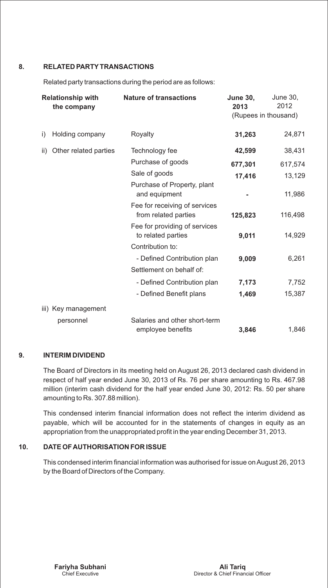#### **8. RELATED PARTYTRANSACTIONS**

Related party transactions during the period are as follows:

|     | <b>Relationship with</b><br>the company | <b>Nature of transactions</b>                         | <b>June 30,</b><br>2013<br>(Rupees in thousand) | June 30,<br>2012 |
|-----|-----------------------------------------|-------------------------------------------------------|-------------------------------------------------|------------------|
| i)  | Holding company                         | Royalty                                               | 31,263                                          | 24,871           |
| ii) | Other related parties                   | Technology fee                                        | 42,599                                          | 38,431           |
|     |                                         | Purchase of goods                                     | 677,301                                         | 617,574          |
|     |                                         | Sale of goods                                         | 17,416                                          | 13,129           |
|     |                                         | Purchase of Property, plant<br>and equipment          |                                                 | 11,986           |
|     |                                         | Fee for receiving of services<br>from related parties | 125,823                                         | 116,498          |
|     |                                         | Fee for providing of services<br>to related parties   | 9,011                                           | 14,929           |
|     |                                         | Contribution to:                                      |                                                 |                  |
|     |                                         | - Defined Contribution plan                           | 9,009                                           | 6,261            |
|     |                                         | Settlement on behalf of:                              |                                                 |                  |
|     |                                         | - Defined Contribution plan                           | 7,173                                           | 7,752            |
|     |                                         | - Defined Benefit plans                               | 1,469                                           | 15,387           |
|     | iii) Key management                     |                                                       |                                                 |                  |
|     | personnel                               | Salaries and other short-term<br>employee benefits    | 3,846                                           | 1,846            |

#### **9. INTERIM DIVIDEND**

The Board of Directors in its meeting held on August 26, 2013 declared cash dividend in respect of half year ended June 30, 2013 of Rs. 76 per share amounting to Rs. 467.98 million (interim cash dividend for the half year ended June 30, 2012: Rs. 50 per share amounting to Rs. 307.88 million).

This condensed interim financial information does not reflect the interim dividend as payable, which will be accounted for in the statements of changes in equity as an appropriation from the unappropriated profit in the year ending December 31, 2013.

#### **10. DATE OF AUTHORISATION FOR ISSUE**

This condensed interim financial information was authorised for issue on August 26, 2013 by the Board of Directors of the Company.